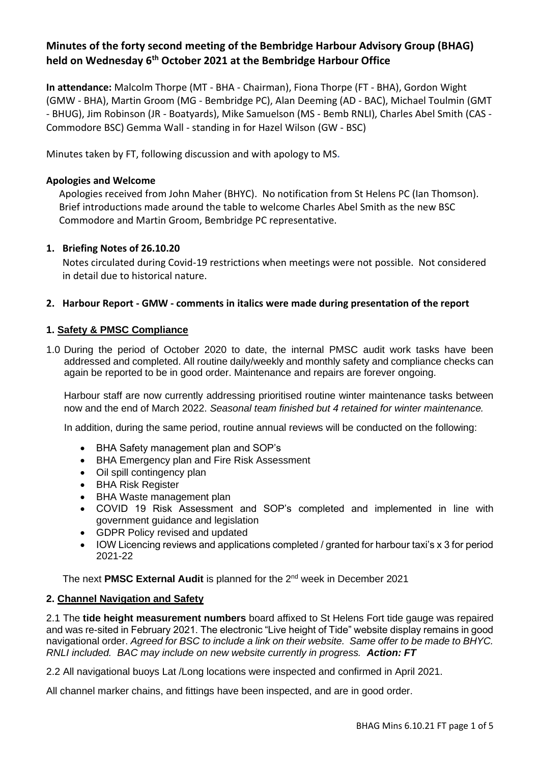# **Minutes of the forty second meeting of the Bembridge Harbour Advisory Group (BHAG) held on Wednesday 6th October 2021 at the Bembridge Harbour Office**

**In attendance:** Malcolm Thorpe (MT - BHA - Chairman), Fiona Thorpe (FT - BHA), Gordon Wight (GMW - BHA), Martin Groom (MG - Bembridge PC), Alan Deeming (AD - BAC), Michael Toulmin (GMT - BHUG), Jim Robinson (JR - Boatyards), Mike Samuelson (MS - Bemb RNLI), Charles Abel Smith (CAS - Commodore BSC) Gemma Wall - standing in for Hazel Wilson (GW - BSC)

Minutes taken by FT, following discussion and with apology to MS**.**

#### **Apologies and Welcome**

Apologies received from John Maher (BHYC). No notification from St Helens PC (Ian Thomson). Brief introductions made around the table to welcome Charles Abel Smith as the new BSC Commodore and Martin Groom, Bembridge PC representative.

#### **1. Briefing Notes of 26.10.20**

Notes circulated during Covid-19 restrictions when meetings were not possible. Not considered in detail due to historical nature.

#### **2. Harbour Report - GMW - comments in italics were made during presentation of the report**

#### **1. Safety & PMSC Compliance**

1.0 During the period of October 2020 to date, the internal PMSC audit work tasks have been addressed and completed. All routine daily/weekly and monthly safety and compliance checks can again be reported to be in good order. Maintenance and repairs are forever ongoing.

Harbour staff are now currently addressing prioritised routine winter maintenance tasks between now and the end of March 2022. *Seasonal team finished but 4 retained for winter maintenance.*

In addition, during the same period, routine annual reviews will be conducted on the following:

- BHA Safety management plan and SOP's
- BHA Emergency plan and Fire Risk Assessment
- Oil spill contingency plan
- BHA Risk Register
- BHA Waste management plan
- COVID 19 Risk Assessment and SOP's completed and implemented in line with government guidance and legislation
- GDPR Policy revised and updated
- IOW Licencing reviews and applications completed / granted for harbour taxi's x 3 for period 2021-22

The next **PMSC External Audit** is planned for the 2nd week in December 2021

#### **2. Channel Navigation and Safety**

2.1 The **tide height measurement numbers** board affixed to St Helens Fort tide gauge was repaired and was re-sited in February 2021. The electronic "Live height of Tide" website display remains in good navigational order. *Agreed for BSC to include a link on their website. Same offer to be made to BHYC. RNLI included. BAC may include on new website currently in progress. Action: FT*

2.2 All navigational buoys Lat /Long locations were inspected and confirmed in April 2021.

All channel marker chains, and fittings have been inspected, and are in good order.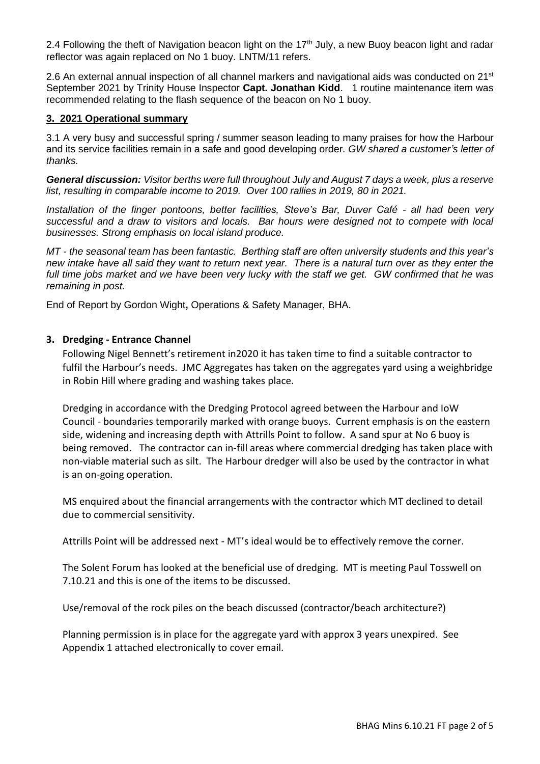2.4 Following the theft of Navigation beacon light on the 17<sup>th</sup> July, a new Buoy beacon light and radar reflector was again replaced on No 1 buoy. LNTM/11 refers.

2.6 An external annual inspection of all channel markers and navigational aids was conducted on 21<sup>st</sup> September 2021 by Trinity House Inspector Capt. Jonathan Kidd. 1 routine maintenance item was recommended relating to the flash sequence of the beacon on No 1 buoy.

#### **3. 2021 Operational summary**

3.1 A very busy and successful spring / summer season leading to many praises for how the Harbour and its service facilities remain in a safe and good developing order. *GW shared a customer's letter of thanks.*

*General discussion: Visitor berths were full throughout July and August 7 days a week, plus a reserve list, resulting in comparable income to 2019. Over 100 rallies in 2019, 80 in 2021.* 

*Installation of the finger pontoons, better facilities, Steve's Bar, Duver Café - all had been very successful and a draw to visitors and locals. Bar hours were designed not to compete with local businesses. Strong emphasis on local island produce.*

*MT - the seasonal team has been fantastic. Berthing staff are often university students and this year's new intake have all said they want to return next year. There is a natural turn over as they enter the full time jobs market and we have been very lucky with the staff we get. GW confirmed that he was remaining in post.* 

End of Report by Gordon Wight**,** Operations & Safety Manager, BHA.

### **3. Dredging - Entrance Channel**

Following Nigel Bennett's retirement in2020 it has taken time to find a suitable contractor to fulfil the Harbour's needs. JMC Aggregates has taken on the aggregates yard using a weighbridge in Robin Hill where grading and washing takes place.

Dredging in accordance with the Dredging Protocol agreed between the Harbour and IoW Council - boundaries temporarily marked with orange buoys. Current emphasis is on the eastern side, widening and increasing depth with Attrills Point to follow. A sand spur at No 6 buoy is being removed. The contractor can in-fill areas where commercial dredging has taken place with non-viable material such as silt. The Harbour dredger will also be used by the contractor in what is an on-going operation.

MS enquired about the financial arrangements with the contractor which MT declined to detail due to commercial sensitivity.

Attrills Point will be addressed next - MT's ideal would be to effectively remove the corner.

The Solent Forum has looked at the beneficial use of dredging. MT is meeting Paul Tosswell on 7.10.21 and this is one of the items to be discussed.

Use/removal of the rock piles on the beach discussed (contractor/beach architecture?)

Planning permission is in place for the aggregate yard with approx 3 years unexpired. See Appendix 1 attached electronically to cover email.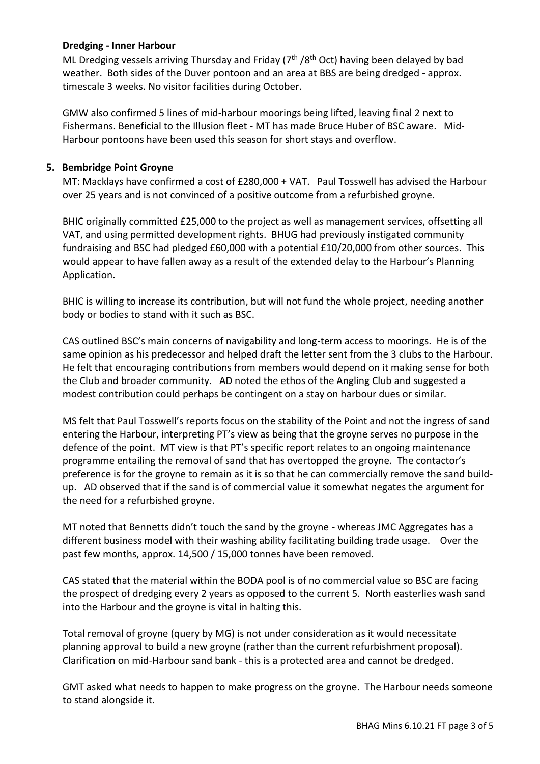### **Dredging - Inner Harbour**

ML Dredging vessels arriving Thursday and Friday  $(7<sup>th</sup> / 8<sup>th</sup> Oct)$  having been delayed by bad weather. Both sides of the Duver pontoon and an area at BBS are being dredged - approx. timescale 3 weeks. No visitor facilities during October.

GMW also confirmed 5 lines of mid-harbour moorings being lifted, leaving final 2 next to Fishermans. Beneficial to the Illusion fleet - MT has made Bruce Huber of BSC aware. Mid-Harbour pontoons have been used this season for short stays and overflow.

# **5. Bembridge Point Groyne**

MT: Macklays have confirmed a cost of £280,000 + VAT. Paul Tosswell has advised the Harbour over 25 years and is not convinced of a positive outcome from a refurbished groyne.

BHIC originally committed £25,000 to the project as well as management services, offsetting all VAT, and using permitted development rights. BHUG had previously instigated community fundraising and BSC had pledged £60,000 with a potential £10/20,000 from other sources. This would appear to have fallen away as a result of the extended delay to the Harbour's Planning Application.

BHIC is willing to increase its contribution, but will not fund the whole project, needing another body or bodies to stand with it such as BSC.

CAS outlined BSC's main concerns of navigability and long-term access to moorings. He is of the same opinion as his predecessor and helped draft the letter sent from the 3 clubs to the Harbour. He felt that encouraging contributions from members would depend on it making sense for both the Club and broader community. AD noted the ethos of the Angling Club and suggested a modest contribution could perhaps be contingent on a stay on harbour dues or similar.

MS felt that Paul Tosswell's reports focus on the stability of the Point and not the ingress of sand entering the Harbour, interpreting PT's view as being that the groyne serves no purpose in the defence of the point. MT view is that PT's specific report relates to an ongoing maintenance programme entailing the removal of sand that has overtopped the groyne. The contactor's preference is for the groyne to remain as it is so that he can commercially remove the sand buildup. AD observed that if the sand is of commercial value it somewhat negates the argument for the need for a refurbished groyne.

MT noted that Bennetts didn't touch the sand by the groyne - whereas JMC Aggregates has a different business model with their washing ability facilitating building trade usage. Over the past few months, approx. 14,500 / 15,000 tonnes have been removed.

CAS stated that the material within the BODA pool is of no commercial value so BSC are facing the prospect of dredging every 2 years as opposed to the current 5. North easterlies wash sand into the Harbour and the groyne is vital in halting this.

Total removal of groyne (query by MG) is not under consideration as it would necessitate planning approval to build a new groyne (rather than the current refurbishment proposal). Clarification on mid-Harbour sand bank - this is a protected area and cannot be dredged.

GMT asked what needs to happen to make progress on the groyne. The Harbour needs someone to stand alongside it.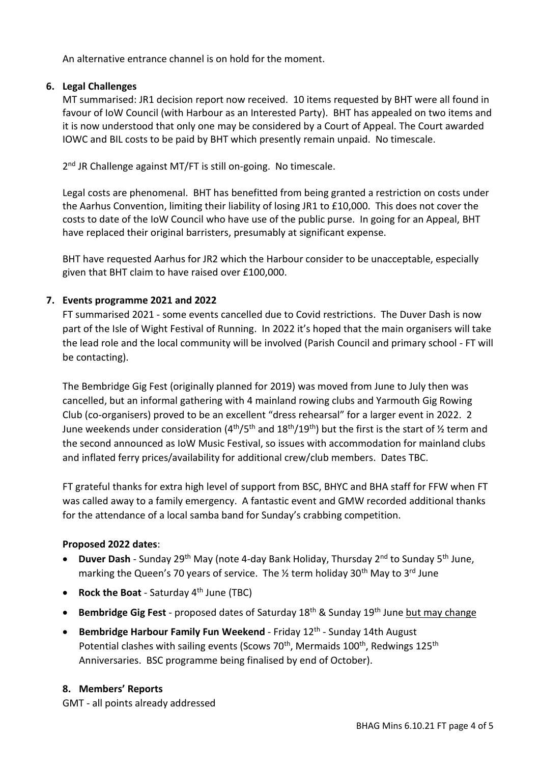An alternative entrance channel is on hold for the moment.

# **6. Legal Challenges**

MT summarised: JR1 decision report now received. 10 items requested by BHT were all found in favour of IoW Council (with Harbour as an Interested Party). BHT has appealed on two items and it is now understood that only one may be considered by a Court of Appeal. The Court awarded IOWC and BIL costs to be paid by BHT which presently remain unpaid. No timescale.

2<sup>nd</sup> JR Challenge against MT/FT is still on-going. No timescale.

Legal costs are phenomenal. BHT has benefitted from being granted a restriction on costs under the Aarhus Convention, limiting their liability of losing JR1 to £10,000. This does not cover the costs to date of the IoW Council who have use of the public purse. In going for an Appeal, BHT have replaced their original barristers, presumably at significant expense.

BHT have requested Aarhus for JR2 which the Harbour consider to be unacceptable, especially given that BHT claim to have raised over £100,000.

# **7. Events programme 2021 and 2022**

FT summarised 2021 - some events cancelled due to Covid restrictions. The Duver Dash is now part of the Isle of Wight Festival of Running. In 2022 it's hoped that the main organisers will take the lead role and the local community will be involved (Parish Council and primary school - FT will be contacting).

The Bembridge Gig Fest (originally planned for 2019) was moved from June to July then was cancelled, but an informal gathering with 4 mainland rowing clubs and Yarmouth Gig Rowing Club (co-organisers) proved to be an excellent "dress rehearsal" for a larger event in 2022. 2 June weekends under consideration (4<sup>th</sup>/5<sup>th</sup> and 18<sup>th</sup>/19<sup>th</sup>) but the first is the start of ½ term and the second announced as IoW Music Festival, so issues with accommodation for mainland clubs and inflated ferry prices/availability for additional crew/club members. Dates TBC.

FT grateful thanks for extra high level of support from BSC, BHYC and BHA staff for FFW when FT was called away to a family emergency. A fantastic event and GMW recorded additional thanks for the attendance of a local samba band for Sunday's crabbing competition.

#### **Proposed 2022 dates**:

- **Duver Dash** Sunday 29<sup>th</sup> May (note 4-day Bank Holiday, Thursday 2<sup>nd</sup> to Sunday 5<sup>th</sup> June, marking the Queen's 70 years of service. The  $\frac{1}{2}$  term holiday 30<sup>th</sup> May to 3<sup>rd</sup> June
- **Rock the Boat** Saturday 4th June (TBC)
- **Bembridge Gig Fest** proposed dates of Saturday 18th & Sunday 19th June but may change
- Bembridge Harbour Family Fun Weekend Friday 12<sup>th</sup> Sunday 14th August Potential clashes with sailing events (Scows 70<sup>th</sup>, Mermaids 100<sup>th</sup>, Redwings 125<sup>th</sup> Anniversaries. BSC programme being finalised by end of October).

#### **8. Members' Reports**

GMT - all points already addressed